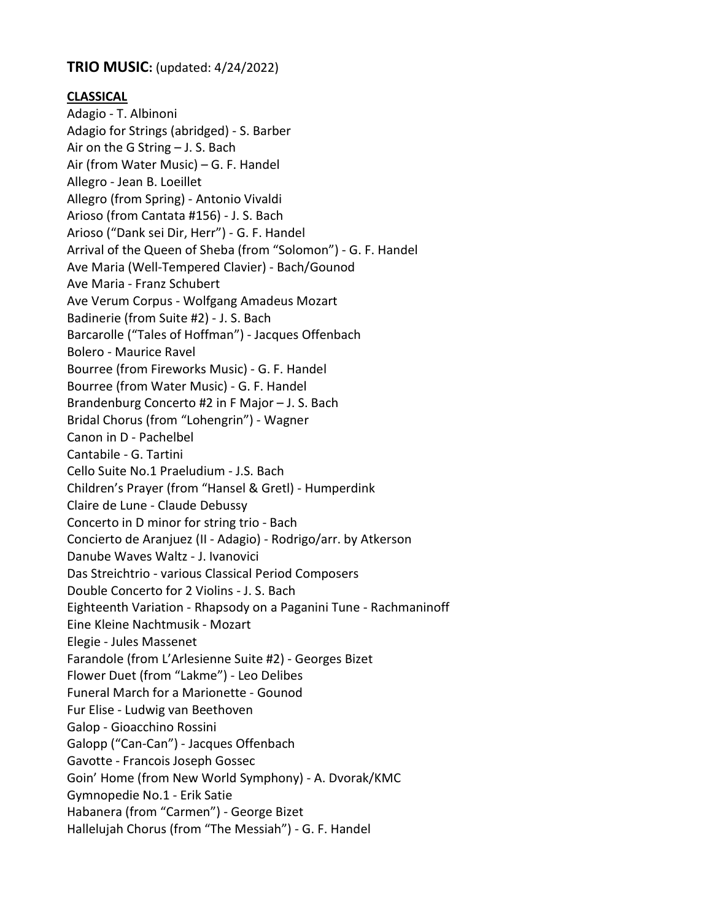## TRIO MUSIC: (updated: 4/24/2022)

## CLASSICAL

Adagio - T. Albinoni Adagio for Strings (abridged) - S. Barber Air on the G String – J. S. Bach Air (from Water Music) – G. F. Handel Allegro - Jean B. Loeillet Allegro (from Spring) - Antonio Vivaldi Arioso (from Cantata #156) - J. S. Bach Arioso ("Dank sei Dir, Herr") - G. F. Handel Arrival of the Queen of Sheba (from "Solomon") - G. F. Handel Ave Maria (Well-Tempered Clavier) - Bach/Gounod Ave Maria - Franz Schubert Ave Verum Corpus - Wolfgang Amadeus Mozart Badinerie (from Suite #2) - J. S. Bach Barcarolle ("Tales of Hoffman") - Jacques Offenbach Bolero - Maurice Ravel Bourree (from Fireworks Music) - G. F. Handel Bourree (from Water Music) - G. F. Handel Brandenburg Concerto #2 in F Major – J. S. Bach Bridal Chorus (from "Lohengrin") - Wagner Canon in D - Pachelbel Cantabile - G. Tartini Cello Suite No.1 Praeludium - J.S. Bach Children's Prayer (from "Hansel & Gretl) - Humperdink Claire de Lune - Claude Debussy Concerto in D minor for string trio - Bach Concierto de Aranjuez (II - Adagio) - Rodrigo/arr. by Atkerson Danube Waves Waltz - J. Ivanovici Das Streichtrio - various Classical Period Composers Double Concerto for 2 Violins - J. S. Bach Eighteenth Variation - Rhapsody on a Paganini Tune - Rachmaninoff Eine Kleine Nachtmusik - Mozart Elegie - Jules Massenet Farandole (from L'Arlesienne Suite #2) - Georges Bizet Flower Duet (from "Lakme") - Leo Delibes Funeral March for a Marionette - Gounod Fur Elise - Ludwig van Beethoven Galop - Gioacchino Rossini Galopp ("Can-Can") - Jacques Offenbach Gavotte - Francois Joseph Gossec Goin' Home (from New World Symphony) - A. Dvorak/KMC Gymnopedie No.1 - Erik Satie Habanera (from "Carmen") - George Bizet Hallelujah Chorus (from "The Messiah") - G. F. Handel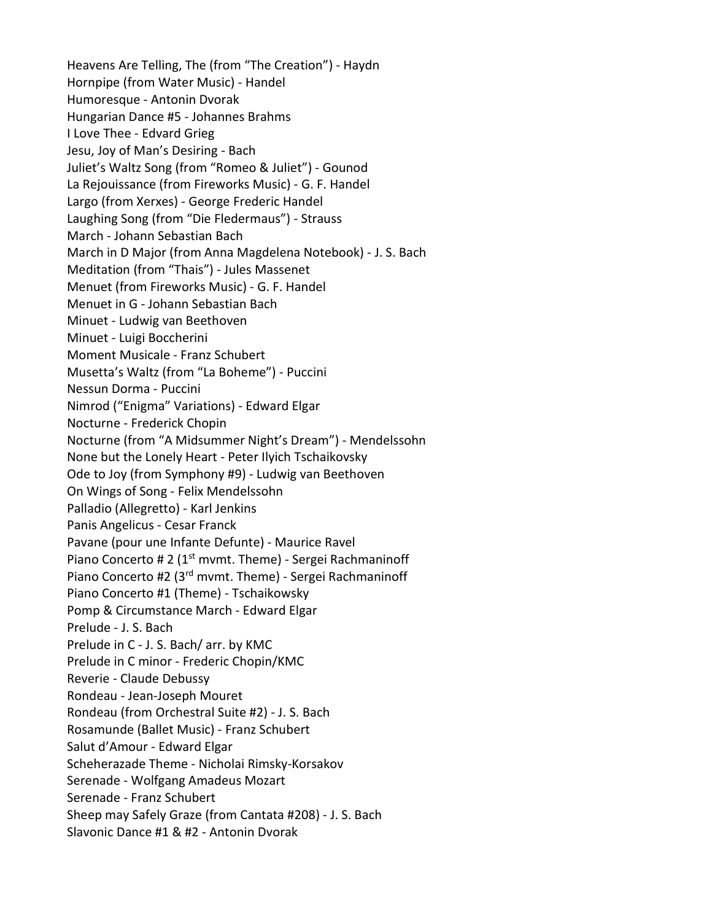Heavens Are Telling, The (from "The Creation") - Haydn Hornpipe (from Water Music) - Handel Humoresque - Antonin Dvorak Hungarian Dance #5 - Johannes Brahms I Love Thee - Edvard Grieg Jesu, Joy of Man's Desiring - Bach Juliet's Waltz Song (from "Romeo & Juliet") - Gounod La Rejouissance (from Fireworks Music) - G. F. Handel Largo (from Xerxes) - George Frederic Handel Laughing Song (from "Die Fledermaus") - Strauss March - Johann Sebastian Bach March in D Major (from Anna Magdelena Notebook) - J. S. Bach Meditation (from "Thais") - Jules Massenet Menuet (from Fireworks Music) - G. F. Handel Menuet in G - Johann Sebastian Bach Minuet - Ludwig van Beethoven Minuet - Luigi Boccherini Moment Musicale - Franz Schubert Musetta's Waltz (from "La Boheme") - Puccini Nessun Dorma - Puccini Nimrod ("Enigma" Variations) - Edward Elgar Nocturne - Frederick Chopin Nocturne (from "A Midsummer Night's Dream") - Mendelssohn None but the Lonely Heart - Peter Ilyich Tschaikovsky Ode to Joy (from Symphony #9) - Ludwig van Beethoven On Wings of Song - Felix Mendelssohn Palladio (Allegretto) - Karl Jenkins Panis Angelicus - Cesar Franck Pavane (pour une Infante Defunte) - Maurice Ravel Piano Concerto # 2 (1<sup>st</sup> mvmt. Theme) - Sergei Rachmaninoff Piano Concerto #2 (3rd mvmt. Theme) - Sergei Rachmaninoff Piano Concerto #1 (Theme) - Tschaikowsky Pomp & Circumstance March - Edward Elgar Prelude - J. S. Bach Prelude in C - J. S. Bach/ arr. by KMC Prelude in C minor - Frederic Chopin/KMC Reverie - Claude Debussy Rondeau - Jean-Joseph Mouret Rondeau (from Orchestral Suite #2) - J. S. Bach Rosamunde (Ballet Music) - Franz Schubert Salut d'Amour - Edward Elgar Scheherazade Theme - Nicholai Rimsky-Korsakov Serenade - Wolfgang Amadeus Mozart Serenade - Franz Schubert Sheep may Safely Graze (from Cantata #208) - J. S. Bach Slavonic Dance #1 & #2 - Antonin Dvorak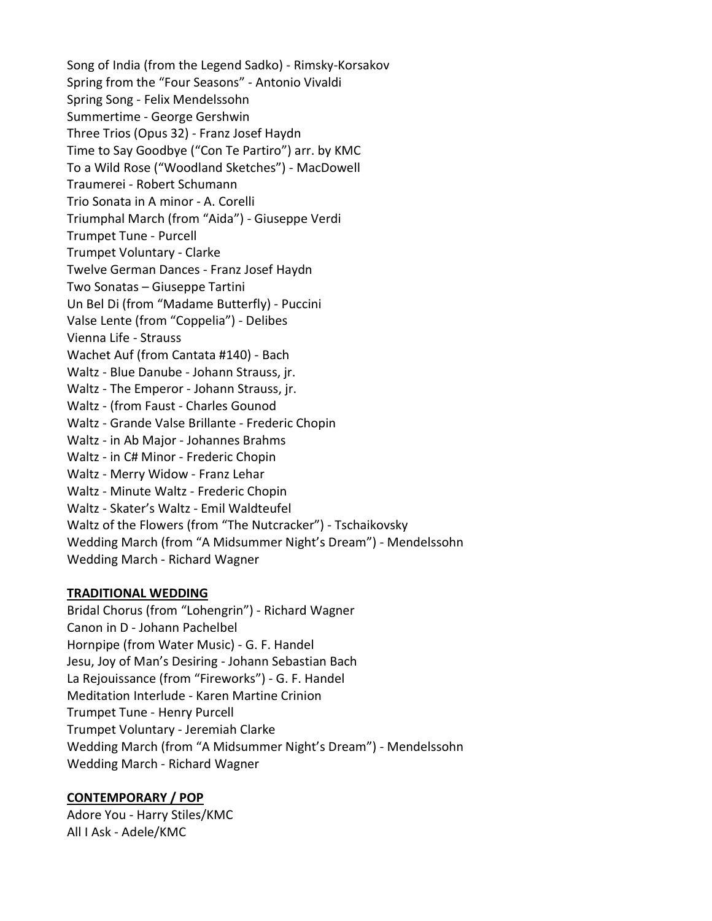Song of India (from the Legend Sadko) - Rimsky-Korsakov Spring from the "Four Seasons" - Antonio Vivaldi Spring Song - Felix Mendelssohn Summertime - George Gershwin Three Trios (Opus 32) - Franz Josef Haydn Time to Say Goodbye ("Con Te Partiro") arr. by KMC To a Wild Rose ("Woodland Sketches") - MacDowell Traumerei - Robert Schumann Trio Sonata in A minor - A. Corelli Triumphal March (from "Aida") - Giuseppe Verdi Trumpet Tune - Purcell Trumpet Voluntary - Clarke Twelve German Dances - Franz Josef Haydn Two Sonatas – Giuseppe Tartini Un Bel Di (from "Madame Butterfly) - Puccini Valse Lente (from "Coppelia") - Delibes Vienna Life - Strauss Wachet Auf (from Cantata #140) - Bach Waltz - Blue Danube - Johann Strauss, jr. Waltz - The Emperor - Johann Strauss, jr. Waltz - (from Faust - Charles Gounod Waltz - Grande Valse Brillante - Frederic Chopin Waltz - in Ab Major - Johannes Brahms Waltz - in C# Minor - Frederic Chopin Waltz - Merry Widow - Franz Lehar Waltz - Minute Waltz - Frederic Chopin Waltz - Skater's Waltz - Emil Waldteufel Waltz of the Flowers (from "The Nutcracker") - Tschaikovsky Wedding March (from "A Midsummer Night's Dream") - Mendelssohn Wedding March - Richard Wagner

## TRADITIONAL WEDDING

Bridal Chorus (from "Lohengrin") - Richard Wagner Canon in D - Johann Pachelbel Hornpipe (from Water Music) - G. F. Handel Jesu, Joy of Man's Desiring - Johann Sebastian Bach La Rejouissance (from "Fireworks") - G. F. Handel Meditation Interlude - Karen Martine Crinion Trumpet Tune - Henry Purcell Trumpet Voluntary - Jeremiah Clarke Wedding March (from "A Midsummer Night's Dream") - Mendelssohn Wedding March - Richard Wagner

## CONTEMPORARY / POP

Adore You - Harry Stiles/KMC All I Ask - Adele/KMC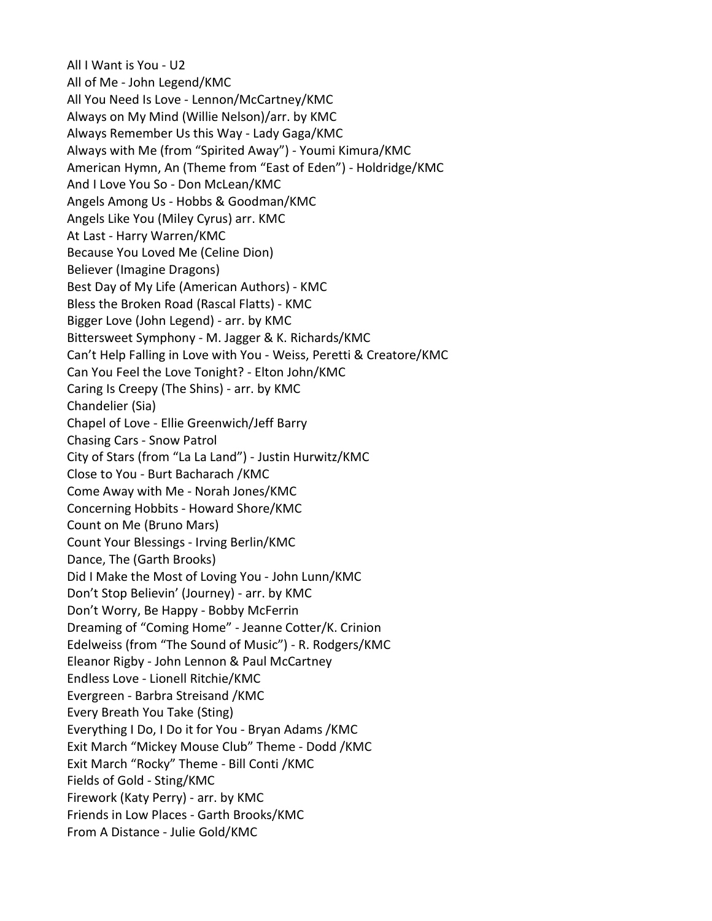All I Want is You - U2 All of Me - John Legend/KMC All You Need Is Love - Lennon/McCartney/KMC Always on My Mind (Willie Nelson)/arr. by KMC Always Remember Us this Way - Lady Gaga/KMC Always with Me (from "Spirited Away") - Youmi Kimura/KMC American Hymn, An (Theme from "East of Eden") - Holdridge/KMC And I Love You So - Don McLean/KMC Angels Among Us - Hobbs & Goodman/KMC Angels Like You (Miley Cyrus) arr. KMC At Last - Harry Warren/KMC Because You Loved Me (Celine Dion) Believer (Imagine Dragons) Best Day of My Life (American Authors) - KMC Bless the Broken Road (Rascal Flatts) - KMC Bigger Love (John Legend) - arr. by KMC Bittersweet Symphony - M. Jagger & K. Richards/KMC Can't Help Falling in Love with You - Weiss, Peretti & Creatore/KMC Can You Feel the Love Tonight? - Elton John/KMC Caring Is Creepy (The Shins) - arr. by KMC Chandelier (Sia) Chapel of Love - Ellie Greenwich/Jeff Barry Chasing Cars - Snow Patrol City of Stars (from "La La Land") - Justin Hurwitz/KMC Close to You - Burt Bacharach /KMC Come Away with Me - Norah Jones/KMC Concerning Hobbits - Howard Shore/KMC Count on Me (Bruno Mars) Count Your Blessings - Irving Berlin/KMC Dance, The (Garth Brooks) Did I Make the Most of Loving You - John Lunn/KMC Don't Stop Believin' (Journey) - arr. by KMC Don't Worry, Be Happy - Bobby McFerrin Dreaming of "Coming Home" - Jeanne Cotter/K. Crinion Edelweiss (from "The Sound of Music") - R. Rodgers/KMC Eleanor Rigby - John Lennon & Paul McCartney Endless Love - Lionell Ritchie/KMC Evergreen - Barbra Streisand /KMC Every Breath You Take (Sting) Everything I Do, I Do it for You - Bryan Adams /KMC Exit March "Mickey Mouse Club" Theme - Dodd /KMC Exit March "Rocky" Theme - Bill Conti /KMC Fields of Gold - Sting/KMC Firework (Katy Perry) - arr. by KMC Friends in Low Places - Garth Brooks/KMC From A Distance - Julie Gold/KMC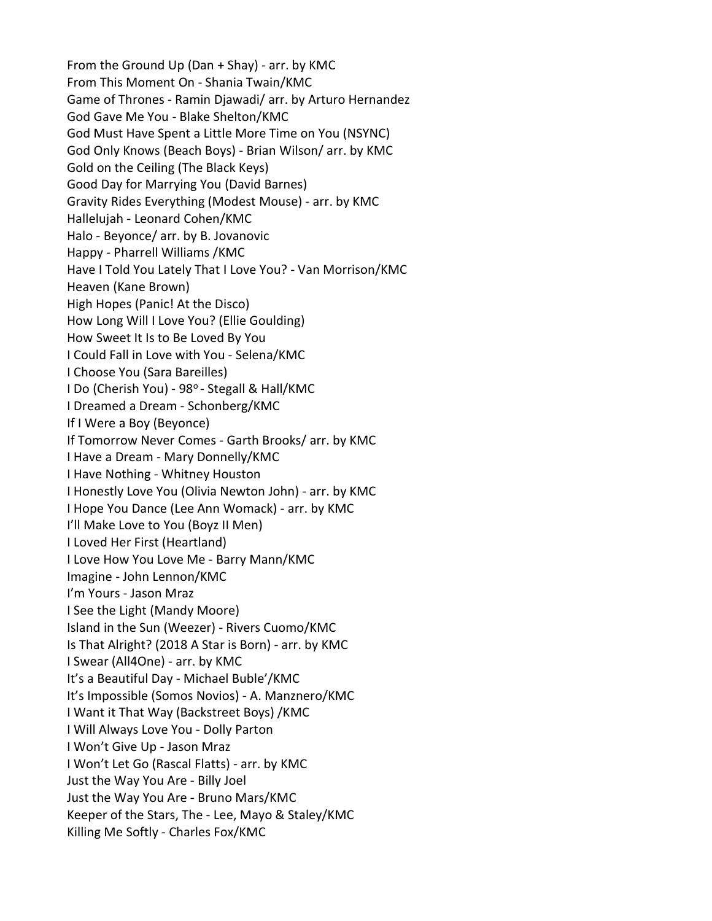From the Ground Up (Dan + Shay) - arr. by KMC From This Moment On - Shania Twain/KMC Game of Thrones - Ramin Djawadi/ arr. by Arturo Hernandez God Gave Me You - Blake Shelton/KMC God Must Have Spent a Little More Time on You (NSYNC) God Only Knows (Beach Boys) - Brian Wilson/ arr. by KMC Gold on the Ceiling (The Black Keys) Good Day for Marrying You (David Barnes) Gravity Rides Everything (Modest Mouse) - arr. by KMC Hallelujah - Leonard Cohen/KMC Halo - Beyonce/ arr. by B. Jovanovic Happy - Pharrell Williams /KMC Have I Told You Lately That I Love You? - Van Morrison/KMC Heaven (Kane Brown) High Hopes (Panic! At the Disco) How Long Will I Love You? (Ellie Goulding) How Sweet It Is to Be Loved By You I Could Fall in Love with You - Selena/KMC I Choose You (Sara Bareilles) I Do (Cherish You) - 98° - Stegall & Hall/KMC I Dreamed a Dream - Schonberg/KMC If I Were a Boy (Beyonce) If Tomorrow Never Comes - Garth Brooks/ arr. by KMC I Have a Dream - Mary Donnelly/KMC I Have Nothing - Whitney Houston I Honestly Love You (Olivia Newton John) - arr. by KMC I Hope You Dance (Lee Ann Womack) - arr. by KMC I'll Make Love to You (Boyz II Men) I Loved Her First (Heartland) I Love How You Love Me - Barry Mann/KMC Imagine - John Lennon/KMC I'm Yours - Jason Mraz I See the Light (Mandy Moore) Island in the Sun (Weezer) - Rivers Cuomo/KMC Is That Alright? (2018 A Star is Born) - arr. by KMC I Swear (All4One) - arr. by KMC It's a Beautiful Day - Michael Buble'/KMC It's Impossible (Somos Novios) - A. Manznero/KMC I Want it That Way (Backstreet Boys) /KMC I Will Always Love You - Dolly Parton I Won't Give Up - Jason Mraz I Won't Let Go (Rascal Flatts) - arr. by KMC Just the Way You Are - Billy Joel Just the Way You Are - Bruno Mars/KMC Keeper of the Stars, The - Lee, Mayo & Staley/KMC Killing Me Softly - Charles Fox/KMC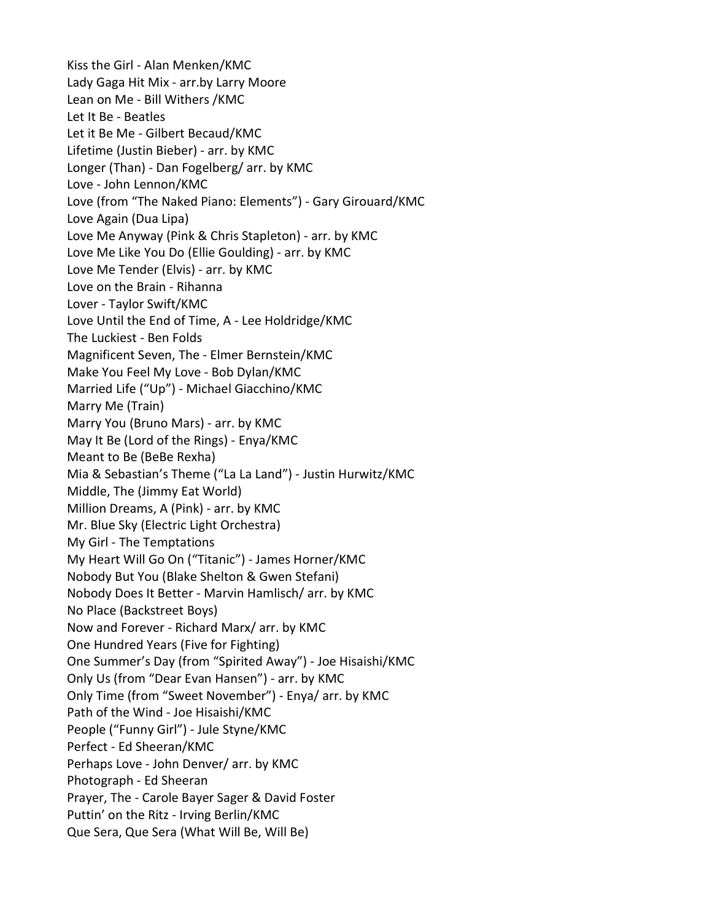Kiss the Girl - Alan Menken/KMC Lady Gaga Hit Mix - arr.by Larry Moore Lean on Me - Bill Withers /KMC Let It Be - Beatles Let it Be Me - Gilbert Becaud/KMC Lifetime (Justin Bieber) - arr. by KMC Longer (Than) - Dan Fogelberg/ arr. by KMC Love - John Lennon/KMC Love (from "The Naked Piano: Elements") - Gary Girouard/KMC Love Again (Dua Lipa) Love Me Anyway (Pink & Chris Stapleton) - arr. by KMC Love Me Like You Do (Ellie Goulding) - arr. by KMC Love Me Tender (Elvis) - arr. by KMC Love on the Brain - Rihanna Lover - Taylor Swift/KMC Love Until the End of Time, A - Lee Holdridge/KMC The Luckiest - Ben Folds Magnificent Seven, The - Elmer Bernstein/KMC Make You Feel My Love - Bob Dylan/KMC Married Life ("Up") - Michael Giacchino/KMC Marry Me (Train) Marry You (Bruno Mars) - arr. by KMC May It Be (Lord of the Rings) - Enya/KMC Meant to Be (BeBe Rexha) Mia & Sebastian's Theme ("La La Land") - Justin Hurwitz/KMC Middle, The (Jimmy Eat World) Million Dreams, A (Pink) - arr. by KMC Mr. Blue Sky (Electric Light Orchestra) My Girl - The Temptations My Heart Will Go On ("Titanic") - James Horner/KMC Nobody But You (Blake Shelton & Gwen Stefani) Nobody Does It Better - Marvin Hamlisch/ arr. by KMC No Place (Backstreet Boys) Now and Forever - Richard Marx/ arr. by KMC One Hundred Years (Five for Fighting) One Summer's Day (from "Spirited Away") - Joe Hisaishi/KMC Only Us (from "Dear Evan Hansen") - arr. by KMC Only Time (from "Sweet November") - Enya/ arr. by KMC Path of the Wind - Joe Hisaishi/KMC People ("Funny Girl") - Jule Styne/KMC Perfect - Ed Sheeran/KMC Perhaps Love - John Denver/ arr. by KMC Photograph - Ed Sheeran Prayer, The - Carole Bayer Sager & David Foster Puttin' on the Ritz - Irving Berlin/KMC Que Sera, Que Sera (What Will Be, Will Be)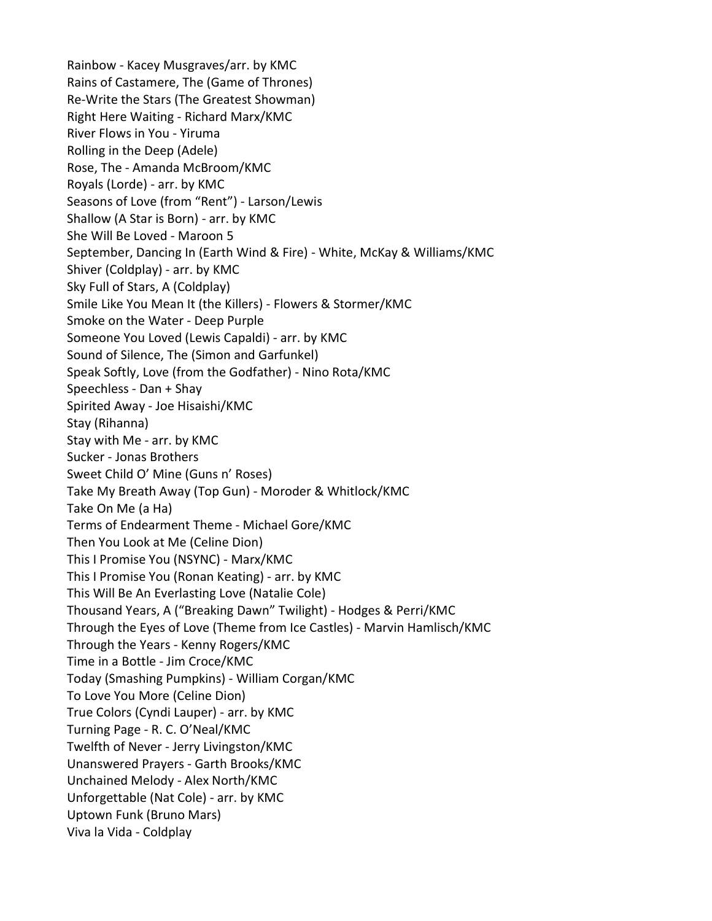Rainbow - Kacey Musgraves/arr. by KMC Rains of Castamere, The (Game of Thrones) Re-Write the Stars (The Greatest Showman) Right Here Waiting - Richard Marx/KMC River Flows in You - Yiruma Rolling in the Deep (Adele) Rose, The - Amanda McBroom/KMC Royals (Lorde) - arr. by KMC Seasons of Love (from "Rent") - Larson/Lewis Shallow (A Star is Born) - arr. by KMC She Will Be Loved - Maroon 5 September, Dancing In (Earth Wind & Fire) - White, McKay & Williams/KMC Shiver (Coldplay) - arr. by KMC Sky Full of Stars, A (Coldplay) Smile Like You Mean It (the Killers) - Flowers & Stormer/KMC Smoke on the Water - Deep Purple Someone You Loved (Lewis Capaldi) - arr. by KMC Sound of Silence, The (Simon and Garfunkel) Speak Softly, Love (from the Godfather) - Nino Rota/KMC Speechless - Dan + Shay Spirited Away - Joe Hisaishi/KMC Stay (Rihanna) Stay with Me - arr. by KMC Sucker - Jonas Brothers Sweet Child O' Mine (Guns n' Roses) Take My Breath Away (Top Gun) - Moroder & Whitlock/KMC Take On Me (a Ha) Terms of Endearment Theme - Michael Gore/KMC Then You Look at Me (Celine Dion) This I Promise You (NSYNC) - Marx/KMC This I Promise You (Ronan Keating) - arr. by KMC This Will Be An Everlasting Love (Natalie Cole) Thousand Years, A ("Breaking Dawn" Twilight) - Hodges & Perri/KMC Through the Eyes of Love (Theme from Ice Castles) - Marvin Hamlisch/KMC Through the Years - Kenny Rogers/KMC Time in a Bottle - Jim Croce/KMC Today (Smashing Pumpkins) - William Corgan/KMC To Love You More (Celine Dion) True Colors (Cyndi Lauper) - arr. by KMC Turning Page - R. C. O'Neal/KMC Twelfth of Never - Jerry Livingston/KMC Unanswered Prayers - Garth Brooks/KMC Unchained Melody - Alex North/KMC Unforgettable (Nat Cole) - arr. by KMC Uptown Funk (Bruno Mars) Viva la Vida - Coldplay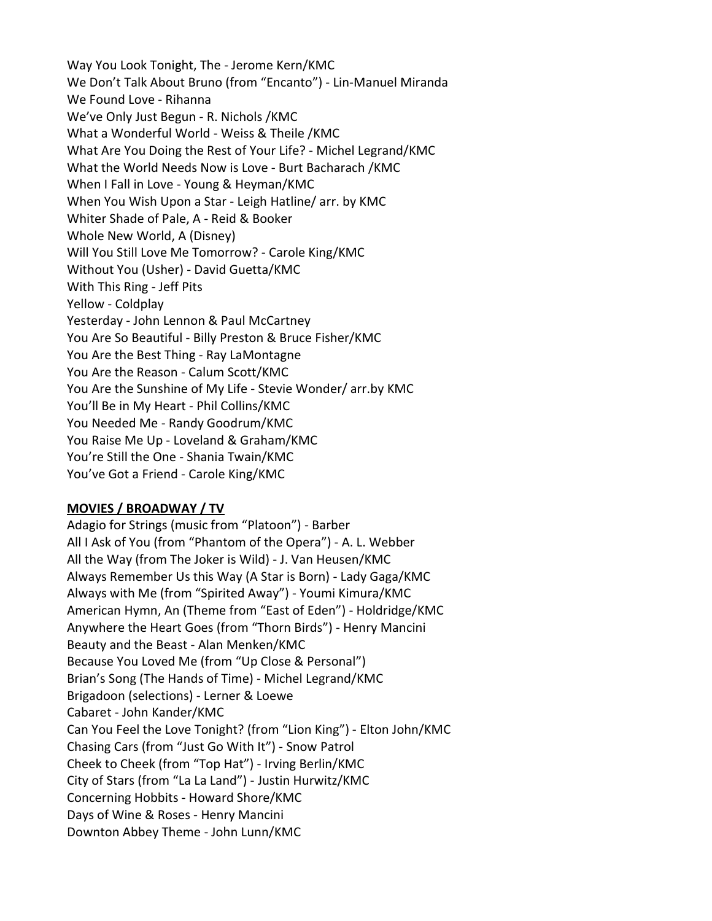Way You Look Tonight, The - Jerome Kern/KMC We Don't Talk About Bruno (from "Encanto") - Lin-Manuel Miranda We Found Love - Rihanna We've Only Just Begun - R. Nichols /KMC What a Wonderful World - Weiss & Theile /KMC What Are You Doing the Rest of Your Life? - Michel Legrand/KMC What the World Needs Now is Love - Burt Bacharach /KMC When I Fall in Love - Young & Heyman/KMC When You Wish Upon a Star - Leigh Hatline/ arr. by KMC Whiter Shade of Pale, A - Reid & Booker Whole New World, A (Disney) Will You Still Love Me Tomorrow? - Carole King/KMC Without You (Usher) - David Guetta/KMC With This Ring - Jeff Pits Yellow - Coldplay Yesterday - John Lennon & Paul McCartney You Are So Beautiful - Billy Preston & Bruce Fisher/KMC You Are the Best Thing - Ray LaMontagne You Are the Reason - Calum Scott/KMC You Are the Sunshine of My Life - Stevie Wonder/ arr.by KMC You'll Be in My Heart - Phil Collins/KMC You Needed Me - Randy Goodrum/KMC You Raise Me Up - Loveland & Graham/KMC You're Still the One - Shania Twain/KMC You've Got a Friend - Carole King/KMC

## MOVIES / BROADWAY / TV

Adagio for Strings (music from "Platoon") - Barber All I Ask of You (from "Phantom of the Opera") - A. L. Webber All the Way (from The Joker is Wild) - J. Van Heusen/KMC Always Remember Us this Way (A Star is Born) - Lady Gaga/KMC Always with Me (from "Spirited Away") - Youmi Kimura/KMC American Hymn, An (Theme from "East of Eden") - Holdridge/KMC Anywhere the Heart Goes (from "Thorn Birds") - Henry Mancini Beauty and the Beast - Alan Menken/KMC Because You Loved Me (from "Up Close & Personal") Brian's Song (The Hands of Time) - Michel Legrand/KMC Brigadoon (selections) - Lerner & Loewe Cabaret - John Kander/KMC Can You Feel the Love Tonight? (from "Lion King") - Elton John/KMC Chasing Cars (from "Just Go With It") - Snow Patrol Cheek to Cheek (from "Top Hat") - Irving Berlin/KMC City of Stars (from "La La Land") - Justin Hurwitz/KMC Concerning Hobbits - Howard Shore/KMC Days of Wine & Roses - Henry Mancini Downton Abbey Theme - John Lunn/KMC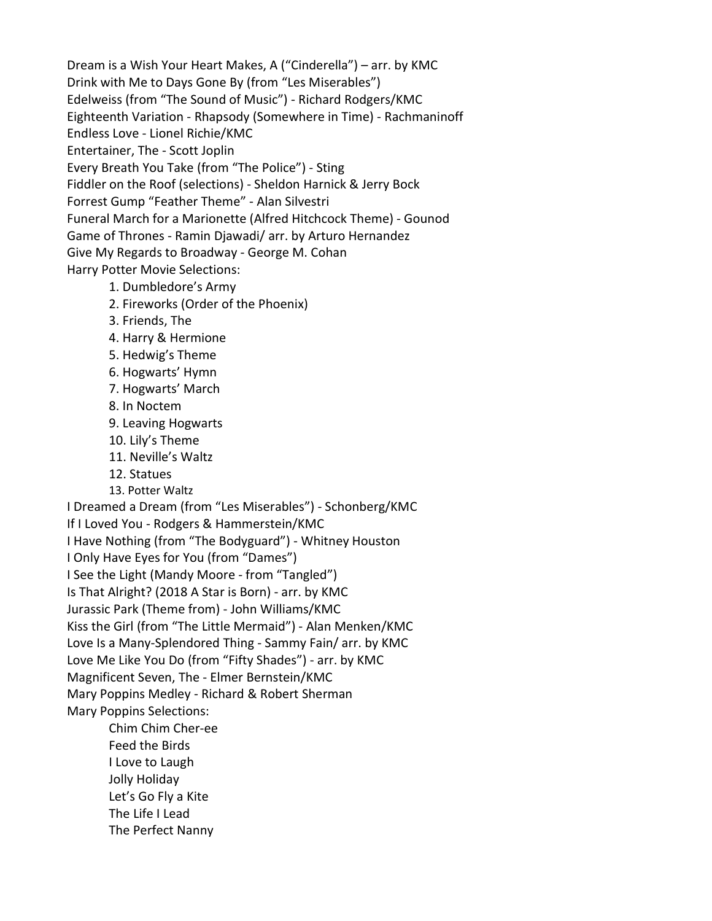Dream is a Wish Your Heart Makes, A ("Cinderella") – arr. by KMC Drink with Me to Days Gone By (from "Les Miserables") Edelweiss (from "The Sound of Music") - Richard Rodgers/KMC Eighteenth Variation - Rhapsody (Somewhere in Time) - Rachmaninoff Endless Love - Lionel Richie/KMC Entertainer, The - Scott Joplin Every Breath You Take (from "The Police") - Sting Fiddler on the Roof (selections) - Sheldon Harnick & Jerry Bock Forrest Gump "Feather Theme" - Alan Silvestri Funeral March for a Marionette (Alfred Hitchcock Theme) - Gounod Game of Thrones - Ramin Djawadi/ arr. by Arturo Hernandez Give My Regards to Broadway - George M. Cohan Harry Potter Movie Selections:

- 1. Dumbledore's Army
- 2. Fireworks (Order of the Phoenix)
- 3. Friends, The
- 4. Harry & Hermione
- 5. Hedwig's Theme
- 6. Hogwarts' Hymn
- 7. Hogwarts' March
- 8. In Noctem
- 9. Leaving Hogwarts
- 10. Lily's Theme
- 11. Neville's Waltz
- 12. Statues
- 13. Potter Waltz

I Dreamed a Dream (from "Les Miserables") - Schonberg/KMC

If I Loved You - Rodgers & Hammerstein/KMC

I Have Nothing (from "The Bodyguard") - Whitney Houston

I Only Have Eyes for You (from "Dames")

I See the Light (Mandy Moore - from "Tangled")

Is That Alright? (2018 A Star is Born) - arr. by KMC

Jurassic Park (Theme from) - John Williams/KMC

Kiss the Girl (from "The Little Mermaid") - Alan Menken/KMC

Love Is a Many-Splendored Thing - Sammy Fain/ arr. by KMC

Love Me Like You Do (from "Fifty Shades") - arr. by KMC

Magnificent Seven, The - Elmer Bernstein/KMC

Mary Poppins Medley - Richard & Robert Sherman

Mary Poppins Selections:

 Chim Chim Cher-ee Feed the Birds I Love to Laugh Jolly Holiday Let's Go Fly a Kite The Life I Lead The Perfect Nanny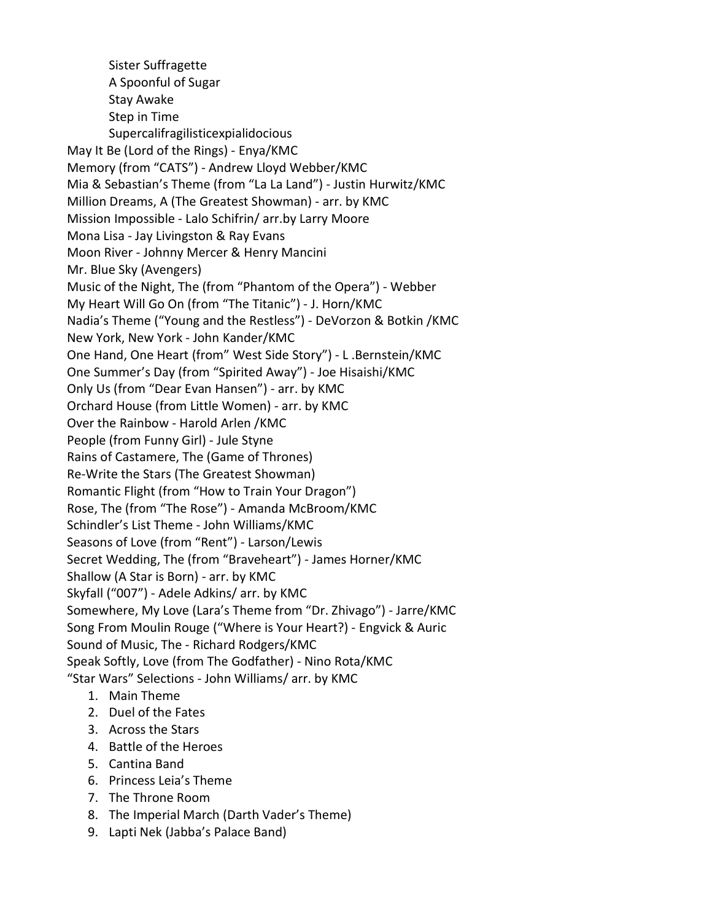Sister Suffragette A Spoonful of Sugar Stay Awake Step in Time Supercalifragilisticexpialidocious May It Be (Lord of the Rings) - Enya/KMC Memory (from "CATS") - Andrew Lloyd Webber/KMC Mia & Sebastian's Theme (from "La La Land") - Justin Hurwitz/KMC Million Dreams, A (The Greatest Showman) - arr. by KMC Mission Impossible - Lalo Schifrin/ arr.by Larry Moore Mona Lisa - Jay Livingston & Ray Evans Moon River - Johnny Mercer & Henry Mancini Mr. Blue Sky (Avengers) Music of the Night, The (from "Phantom of the Opera") - Webber My Heart Will Go On (from "The Titanic") - J. Horn/KMC Nadia's Theme ("Young and the Restless") - DeVorzon & Botkin /KMC New York, New York - John Kander/KMC One Hand, One Heart (from" West Side Story") - L .Bernstein/KMC One Summer's Day (from "Spirited Away") - Joe Hisaishi/KMC Only Us (from "Dear Evan Hansen") - arr. by KMC Orchard House (from Little Women) - arr. by KMC Over the Rainbow - Harold Arlen /KMC People (from Funny Girl) - Jule Styne Rains of Castamere, The (Game of Thrones) Re-Write the Stars (The Greatest Showman) Romantic Flight (from "How to Train Your Dragon") Rose, The (from "The Rose") - Amanda McBroom/KMC Schindler's List Theme - John Williams/KMC Seasons of Love (from "Rent") - Larson/Lewis Secret Wedding, The (from "Braveheart") - James Horner/KMC Shallow (A Star is Born) - arr. by KMC Skyfall ("007") - Adele Adkins/ arr. by KMC Somewhere, My Love (Lara's Theme from "Dr. Zhivago") - Jarre/KMC Song From Moulin Rouge ("Where is Your Heart?) - Engvick & Auric Sound of Music, The - Richard Rodgers/KMC Speak Softly, Love (from The Godfather) - Nino Rota/KMC "Star Wars" Selections - John Williams/ arr. by KMC

- 1. Main Theme
- 2. Duel of the Fates
- 3. Across the Stars
- 4. Battle of the Heroes
- 5. Cantina Band
- 6. Princess Leia's Theme
- 7. The Throne Room
- 8. The Imperial March (Darth Vader's Theme)
- 9. Lapti Nek (Jabba's Palace Band)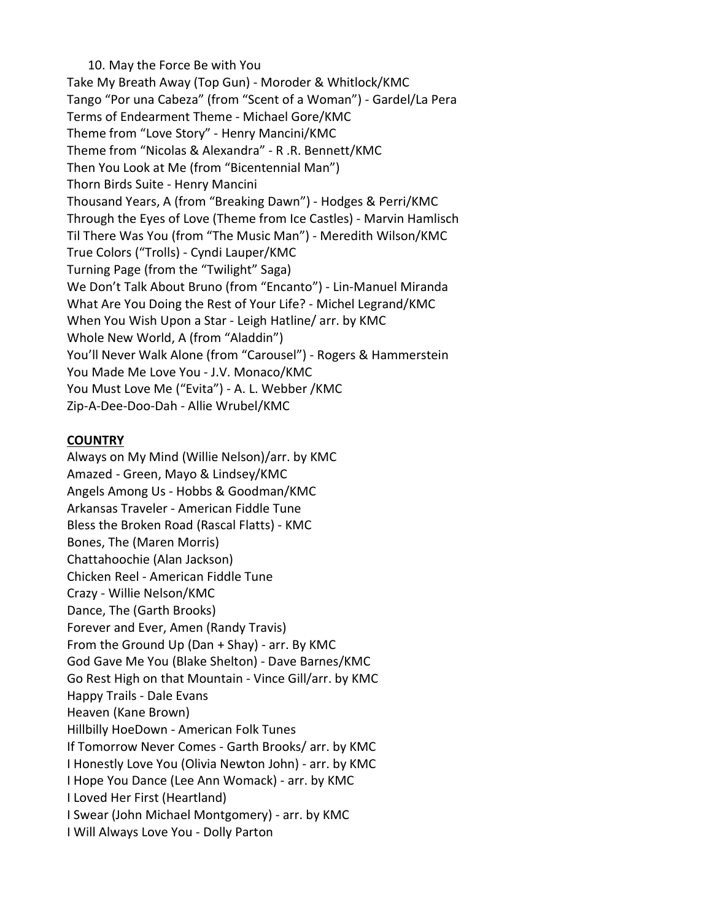10. May the Force Be with You Take My Breath Away (Top Gun) - Moroder & Whitlock/KMC Tango "Por una Cabeza" (from "Scent of a Woman") - Gardel/La Pera Terms of Endearment Theme - Michael Gore/KMC Theme from "Love Story" - Henry Mancini/KMC Theme from "Nicolas & Alexandra" - R .R. Bennett/KMC Then You Look at Me (from "Bicentennial Man") Thorn Birds Suite - Henry Mancini Thousand Years, A (from "Breaking Dawn") - Hodges & Perri/KMC Through the Eyes of Love (Theme from Ice Castles) - Marvin Hamlisch Til There Was You (from "The Music Man") - Meredith Wilson/KMC True Colors ("Trolls) - Cyndi Lauper/KMC Turning Page (from the "Twilight" Saga) We Don't Talk About Bruno (from "Encanto") - Lin-Manuel Miranda What Are You Doing the Rest of Your Life? - Michel Legrand/KMC When You Wish Upon a Star - Leigh Hatline/ arr. by KMC Whole New World, A (from "Aladdin") You'll Never Walk Alone (from "Carousel") - Rogers & Hammerstein You Made Me Love You - J.V. Monaco/KMC You Must Love Me ("Evita") - A. L. Webber /KMC Zip-A-Dee-Doo-Dah - Allie Wrubel/KMC

## **COUNTRY**

Always on My Mind (Willie Nelson)/arr. by KMC Amazed - Green, Mayo & Lindsey/KMC Angels Among Us - Hobbs & Goodman/KMC Arkansas Traveler - American Fiddle Tune Bless the Broken Road (Rascal Flatts) - KMC Bones, The (Maren Morris) Chattahoochie (Alan Jackson) Chicken Reel - American Fiddle Tune Crazy - Willie Nelson/KMC Dance, The (Garth Brooks) Forever and Ever, Amen (Randy Travis) From the Ground Up (Dan + Shay) - arr. By KMC God Gave Me You (Blake Shelton) - Dave Barnes/KMC Go Rest High on that Mountain - Vince Gill/arr. by KMC Happy Trails - Dale Evans Heaven (Kane Brown) Hillbilly HoeDown - American Folk Tunes If Tomorrow Never Comes - Garth Brooks/ arr. by KMC I Honestly Love You (Olivia Newton John) - arr. by KMC I Hope You Dance (Lee Ann Womack) - arr. by KMC I Loved Her First (Heartland) I Swear (John Michael Montgomery) - arr. by KMC I Will Always Love You - Dolly Parton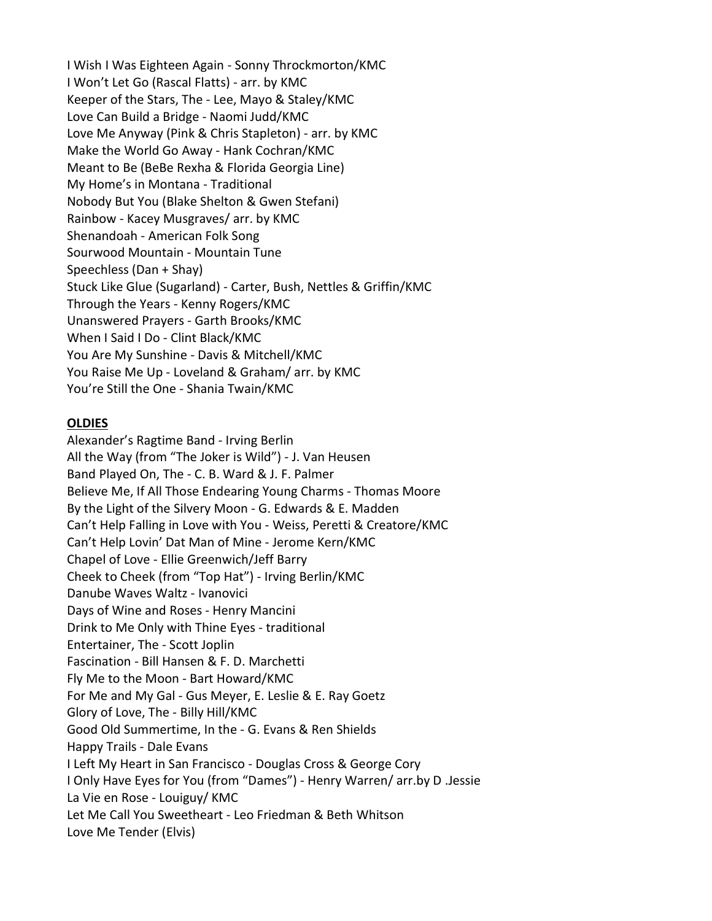I Wish I Was Eighteen Again - Sonny Throckmorton/KMC I Won't Let Go (Rascal Flatts) - arr. by KMC Keeper of the Stars, The - Lee, Mayo & Staley/KMC Love Can Build a Bridge - Naomi Judd/KMC Love Me Anyway (Pink & Chris Stapleton) - arr. by KMC Make the World Go Away - Hank Cochran/KMC Meant to Be (BeBe Rexha & Florida Georgia Line) My Home's in Montana - Traditional Nobody But You (Blake Shelton & Gwen Stefani) Rainbow - Kacey Musgraves/ arr. by KMC Shenandoah - American Folk Song Sourwood Mountain - Mountain Tune Speechless (Dan + Shay) Stuck Like Glue (Sugarland) - Carter, Bush, Nettles & Griffin/KMC Through the Years - Kenny Rogers/KMC Unanswered Prayers - Garth Brooks/KMC When I Said I Do - Clint Black/KMC You Are My Sunshine - Davis & Mitchell/KMC You Raise Me Up - Loveland & Graham/ arr. by KMC You're Still the One - Shania Twain/KMC

## **OLDIES**

Alexander's Ragtime Band - Irving Berlin All the Way (from "The Joker is Wild") - J. Van Heusen Band Played On, The - C. B. Ward & J. F. Palmer Believe Me, If All Those Endearing Young Charms - Thomas Moore By the Light of the Silvery Moon - G. Edwards & E. Madden Can't Help Falling in Love with You - Weiss, Peretti & Creatore/KMC Can't Help Lovin' Dat Man of Mine - Jerome Kern/KMC Chapel of Love - Ellie Greenwich/Jeff Barry Cheek to Cheek (from "Top Hat") - Irving Berlin/KMC Danube Waves Waltz - Ivanovici Days of Wine and Roses - Henry Mancini Drink to Me Only with Thine Eyes - traditional Entertainer, The - Scott Joplin Fascination - Bill Hansen & F. D. Marchetti Fly Me to the Moon - Bart Howard/KMC For Me and My Gal - Gus Meyer, E. Leslie & E. Ray Goetz Glory of Love, The - Billy Hill/KMC Good Old Summertime, In the - G. Evans & Ren Shields Happy Trails - Dale Evans I Left My Heart in San Francisco - Douglas Cross & George Cory I Only Have Eyes for You (from "Dames") - Henry Warren/ arr.by D .Jessie La Vie en Rose - Louiguy/ KMC Let Me Call You Sweetheart - Leo Friedman & Beth Whitson Love Me Tender (Elvis)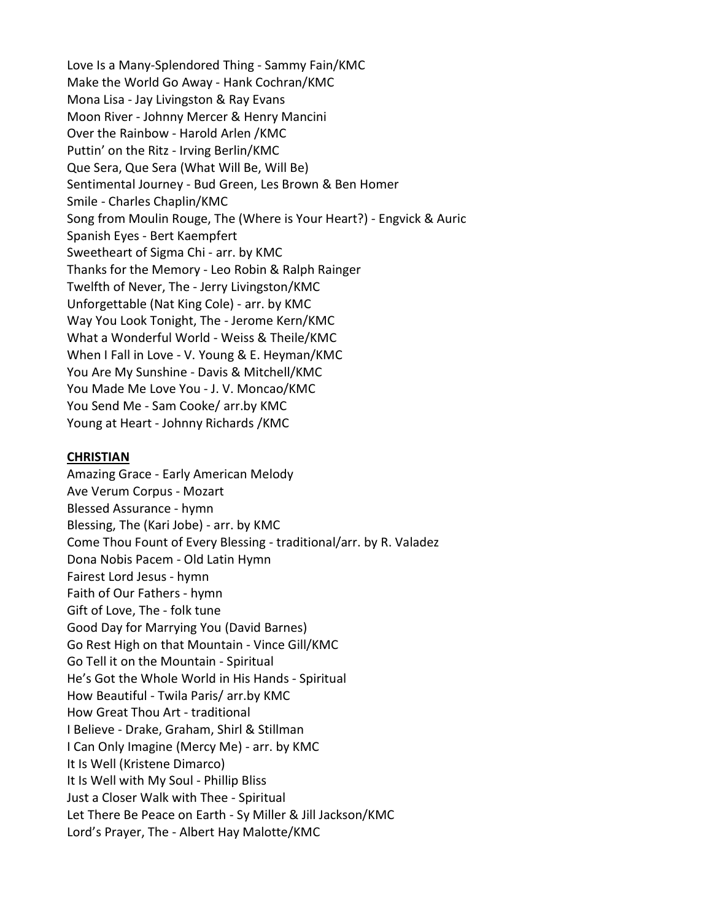Love Is a Many-Splendored Thing - Sammy Fain/KMC Make the World Go Away - Hank Cochran/KMC Mona Lisa - Jay Livingston & Ray Evans Moon River - Johnny Mercer & Henry Mancini Over the Rainbow - Harold Arlen /KMC Puttin' on the Ritz - Irving Berlin/KMC Que Sera, Que Sera (What Will Be, Will Be) Sentimental Journey - Bud Green, Les Brown & Ben Homer Smile - Charles Chaplin/KMC Song from Moulin Rouge, The (Where is Your Heart?) - Engvick & Auric Spanish Eyes - Bert Kaempfert Sweetheart of Sigma Chi - arr. by KMC Thanks for the Memory - Leo Robin & Ralph Rainger Twelfth of Never, The - Jerry Livingston/KMC Unforgettable (Nat King Cole) - arr. by KMC Way You Look Tonight, The - Jerome Kern/KMC What a Wonderful World - Weiss & Theile/KMC When I Fall in Love - V. Young & E. Heyman/KMC You Are My Sunshine - Davis & Mitchell/KMC You Made Me Love You - J. V. Moncao/KMC You Send Me - Sam Cooke/ arr.by KMC Young at Heart - Johnny Richards /KMC

#### **CHRISTIAN**

Amazing Grace - Early American Melody Ave Verum Corpus - Mozart Blessed Assurance - hymn Blessing, The (Kari Jobe) - arr. by KMC Come Thou Fount of Every Blessing - traditional/arr. by R. Valadez Dona Nobis Pacem - Old Latin Hymn Fairest Lord Jesus - hymn Faith of Our Fathers - hymn Gift of Love, The - folk tune Good Day for Marrying You (David Barnes) Go Rest High on that Mountain - Vince Gill/KMC Go Tell it on the Mountain - Spiritual He's Got the Whole World in His Hands - Spiritual How Beautiful - Twila Paris/ arr.by KMC How Great Thou Art - traditional I Believe - Drake, Graham, Shirl & Stillman I Can Only Imagine (Mercy Me) - arr. by KMC It Is Well (Kristene Dimarco) It Is Well with My Soul - Phillip Bliss Just a Closer Walk with Thee - Spiritual Let There Be Peace on Earth - Sy Miller & Jill Jackson/KMC Lord's Prayer, The - Albert Hay Malotte/KMC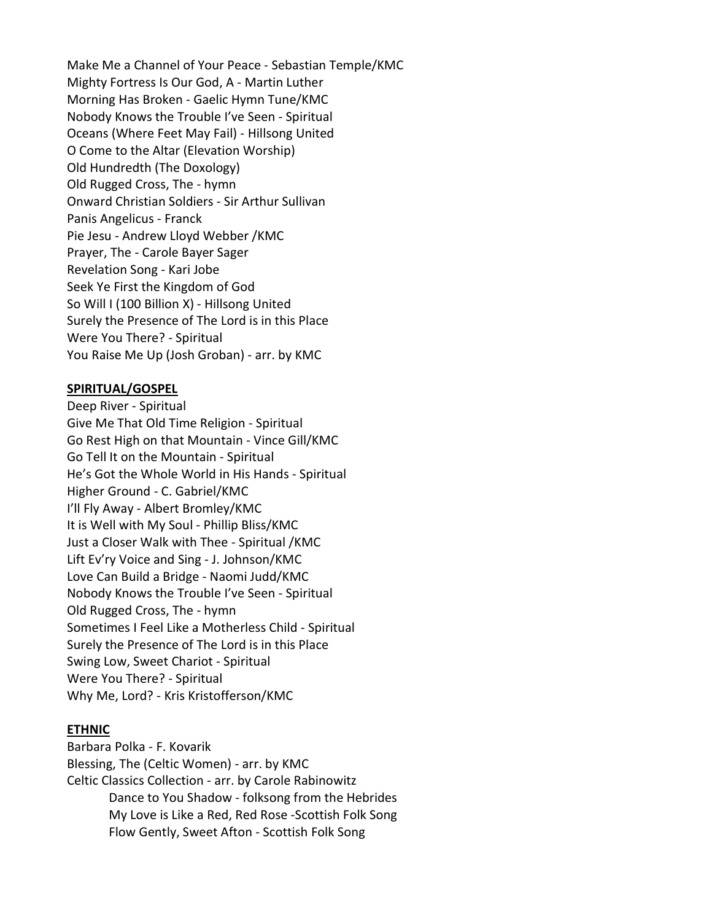Make Me a Channel of Your Peace - Sebastian Temple/KMC Mighty Fortress Is Our God, A - Martin Luther Morning Has Broken - Gaelic Hymn Tune/KMC Nobody Knows the Trouble I've Seen - Spiritual Oceans (Where Feet May Fail) - Hillsong United O Come to the Altar (Elevation Worship) Old Hundredth (The Doxology) Old Rugged Cross, The - hymn Onward Christian Soldiers - Sir Arthur Sullivan Panis Angelicus - Franck Pie Jesu - Andrew Lloyd Webber /KMC Prayer, The - Carole Bayer Sager Revelation Song - Kari Jobe Seek Ye First the Kingdom of God So Will I (100 Billion X) - Hillsong United Surely the Presence of The Lord is in this Place Were You There? - Spiritual You Raise Me Up (Josh Groban) - arr. by KMC

## SPIRITUAL/GOSPEL

Deep River - Spiritual Give Me That Old Time Religion - Spiritual Go Rest High on that Mountain - Vince Gill/KMC Go Tell It on the Mountain - Spiritual He's Got the Whole World in His Hands - Spiritual Higher Ground - C. Gabriel/KMC I'll Fly Away - Albert Bromley/KMC It is Well with My Soul - Phillip Bliss/KMC Just a Closer Walk with Thee - Spiritual /KMC Lift Ev'ry Voice and Sing - J. Johnson/KMC Love Can Build a Bridge - Naomi Judd/KMC Nobody Knows the Trouble I've Seen - Spiritual Old Rugged Cross, The - hymn Sometimes I Feel Like a Motherless Child - Spiritual Surely the Presence of The Lord is in this Place Swing Low, Sweet Chariot - Spiritual Were You There? - Spiritual Why Me, Lord? - Kris Kristofferson/KMC

#### ETHNIC

Barbara Polka - F. Kovarik Blessing, The (Celtic Women) - arr. by KMC Celtic Classics Collection - arr. by Carole Rabinowitz Dance to You Shadow - folksong from the Hebrides My Love is Like a Red, Red Rose -Scottish Folk Song Flow Gently, Sweet Afton - Scottish Folk Song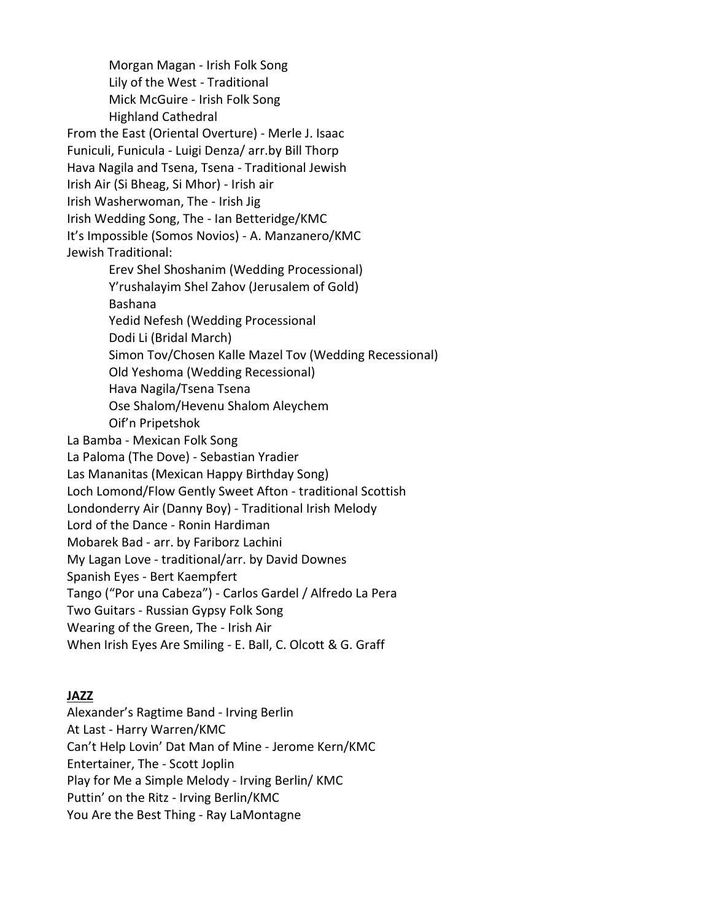Morgan Magan - Irish Folk Song Lily of the West - Traditional Mick McGuire - Irish Folk Song Highland Cathedral From the East (Oriental Overture) - Merle J. Isaac Funiculi, Funicula - Luigi Denza/ arr.by Bill Thorp Hava Nagila and Tsena, Tsena - Traditional Jewish Irish Air (Si Bheag, Si Mhor) - Irish air Irish Washerwoman, The - Irish Jig Irish Wedding Song, The - Ian Betteridge/KMC It's Impossible (Somos Novios) - A. Manzanero/KMC Jewish Traditional: Erev Shel Shoshanim (Wedding Processional) Y'rushalayim Shel Zahov (Jerusalem of Gold) Bashana Yedid Nefesh (Wedding Processional Dodi Li (Bridal March) Simon Tov/Chosen Kalle Mazel Tov (Wedding Recessional) Old Yeshoma (Wedding Recessional) Hava Nagila/Tsena Tsena Ose Shalom/Hevenu Shalom Aleychem Oif'n Pripetshok La Bamba - Mexican Folk Song La Paloma (The Dove) - Sebastian Yradier Las Mananitas (Mexican Happy Birthday Song) Loch Lomond/Flow Gently Sweet Afton - traditional Scottish Londonderry Air (Danny Boy) - Traditional Irish Melody Lord of the Dance - Ronin Hardiman Mobarek Bad - arr. by Fariborz Lachini My Lagan Love - traditional/arr. by David Downes Spanish Eyes - Bert Kaempfert Tango ("Por una Cabeza") - Carlos Gardel / Alfredo La Pera Two Guitars - Russian Gypsy Folk Song Wearing of the Green, The - Irish Air When Irish Eyes Are Smiling - E. Ball, C. Olcott & G. Graff

## JAZZ

Alexander's Ragtime Band - Irving Berlin At Last - Harry Warren/KMC Can't Help Lovin' Dat Man of Mine - Jerome Kern/KMC Entertainer, The - Scott Joplin Play for Me a Simple Melody - Irving Berlin/ KMC Puttin' on the Ritz - Irving Berlin/KMC You Are the Best Thing - Ray LaMontagne